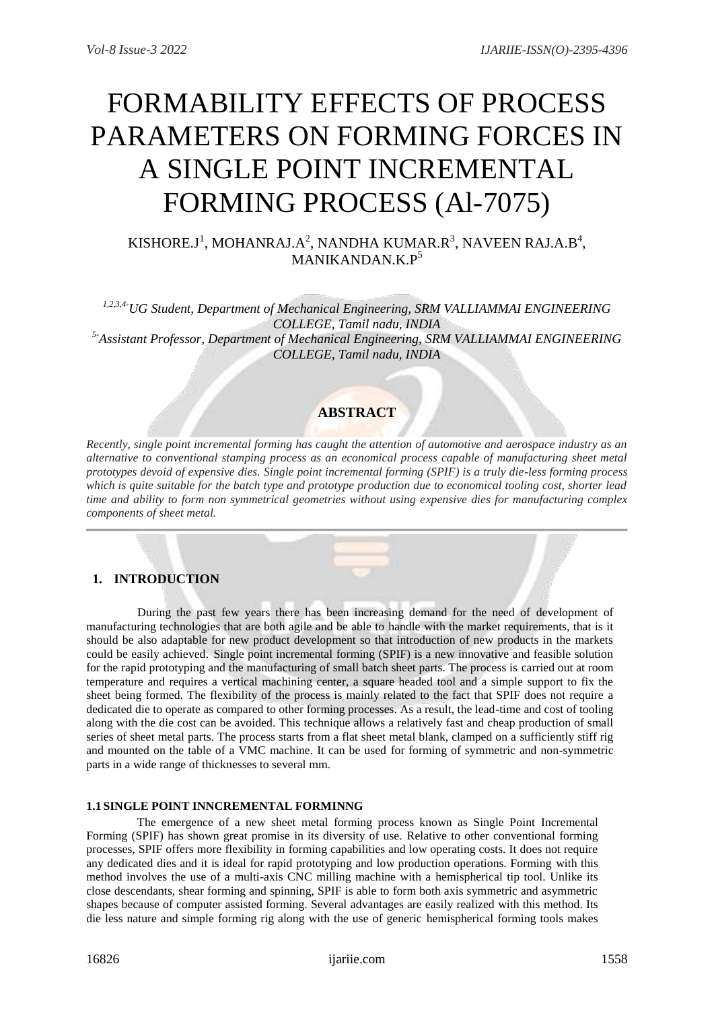# FORMABILITY EFFECTS OF PROCESS PARAMETERS ON FORMING FORCES IN A SINGLE POINT INCREMENTAL FORMING PROCESS (Al-7075)

# KISHORE.J<sup>1</sup>, MOHANRAJ.A<sup>2</sup>, NANDHA KUMAR.R<sup>3</sup>, NAVEEN RAJ.A.B<sup>4</sup>, MANIKANDAN.K.P<sup>5</sup>

*1,2,3,4-UG Student, Department of Mechanical Engineering, SRM VALLIAMMAI ENGINEERING COLLEGE, Tamil nadu, INDIA 5-Assistant Professor, Department of Mechanical Engineering, SRM VALLIAMMAI ENGINEERING COLLEGE, Tamil nadu, INDIA*

# **ABSTRACT**

*Recently, single point incremental forming has caught the attention of automotive and aerospace industry as an alternative to conventional stamping process as an economical process capable of manufacturing sheet metal prototypes devoid of expensive dies. Single point incremental forming (SPIF) is a truly die-less forming process which is quite suitable for the batch type and prototype production due to economical tooling cost, shorter lead time and ability to form non symmetrical geometries without using expensive dies for manufacturing complex components of sheet metal.*

# **1. INTRODUCTION**

 During the past few years there has been increasing demand for the need of development of manufacturing technologies that are both agile and be able to handle with the market requirements, that is it should be also adaptable for new product development so that introduction of new products in the markets could be easily achieved. Single point incremental forming (SPIF) is a new innovative and feasible solution for the rapid prototyping and the manufacturing of small batch sheet parts. The process is carried out at room temperature and requires a vertical machining center, a square headed tool and a simple support to fix the sheet being formed. The flexibility of the process is mainly related to the fact that SPIF does not require a dedicated die to operate as compared to other forming processes. As a result, the lead-time and cost of tooling along with the die cost can be avoided. This technique allows a relatively fast and cheap production of small series of sheet metal parts. The process starts from a flat sheet metal blank, clamped on a sufficiently stiff rig and mounted on the table of a VMC machine. It can be used for forming of symmetric and non-symmetric parts in a wide range of thicknesses to several mm.

## **1.1 SINGLE POINT INNCREMENTAL FORMINNG**

 The emergence of a new sheet metal forming process known as Single Point Incremental Forming (SPIF) has shown great promise in its diversity of use. Relative to other conventional forming processes, SPIF offers more flexibility in forming capabilities and low operating costs. It does not require any dedicated dies and it is ideal for rapid prototyping and low production operations. Forming with this method involves the use of a multi-axis CNC milling machine with a hemispherical tip tool. Unlike its close descendants, shear forming and spinning, SPIF is able to form both axis symmetric and asymmetric shapes because of computer assisted forming. Several advantages are easily realized with this method. Its die less nature and simple forming rig along with the use of generic hemispherical forming tools makes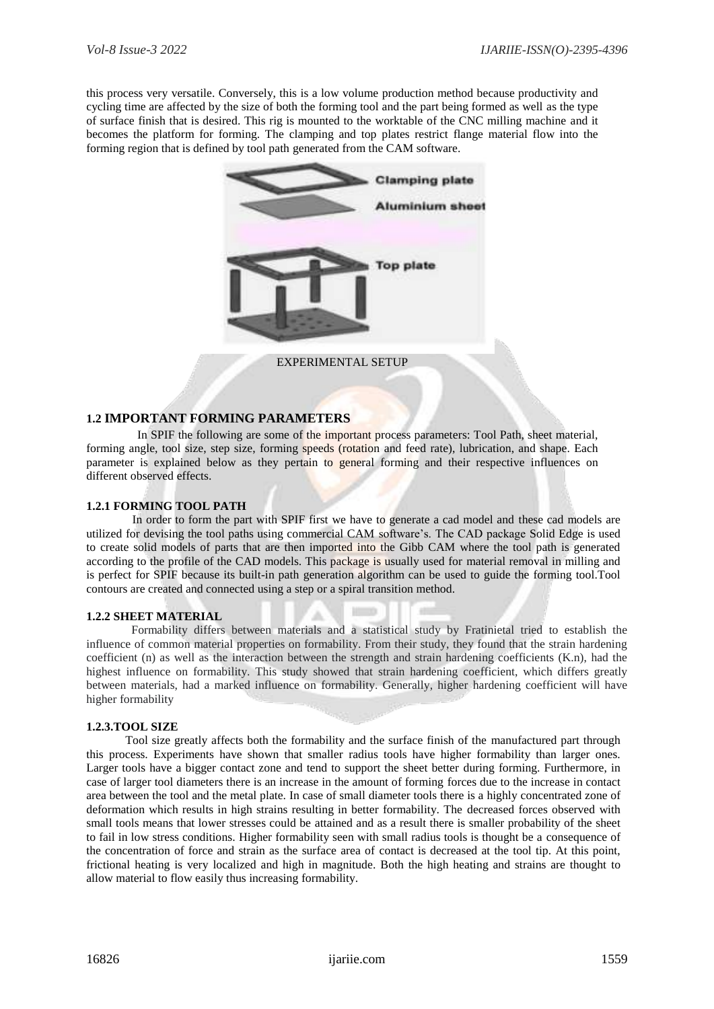this process very versatile. Conversely, this is a low volume production method because productivity and cycling time are affected by the size of both the forming tool and the part being formed as well as the type of surface finish that is desired. This rig is mounted to the worktable of the CNC milling machine and it becomes the platform for forming. The clamping and top plates restrict flange material flow into the forming region that is defined by tool path generated from the CAM software.



## **1.2 IMPORTANT FORMING PARAMETERS**

 In SPIF the following are some of the important process parameters: Tool Path, sheet material, forming angle, tool size, step size, forming speeds (rotation and feed rate), lubrication, and shape. Each parameter is explained below as they pertain to general forming and their respective influences on different observed effects.

#### **1.2.1 FORMING TOOL PATH**

 In order to form the part with SPIF first we have to generate a cad model and these cad models are utilized for devising the tool paths using commercial CAM software's. The CAD package Solid Edge is used to create solid models of parts that are then imported into the Gibb CAM where the tool path is generated according to the profile of the CAD models. This package is usually used for material removal in milling and is perfect for SPIF because its built-in path generation algorithm can be used to guide the forming tool.Tool contours are created and connected using a step or a spiral transition method.

#### **1.2.2 SHEET MATERIAL**

 Formability differs between materials and a statistical study by Fratinietal tried to establish the influence of common material properties on formability. From their study, they found that the strain hardening coefficient (n) as well as the interaction between the strength and strain hardening coefficients (K.n), had the highest influence on formability. This study showed that strain hardening coefficient, which differs greatly between materials, had a marked influence on formability. Generally, higher hardening coefficient will have higher formability

#### **1.2.3.TOOL SIZE**

 Tool size greatly affects both the formability and the surface finish of the manufactured part through this process. Experiments have shown that smaller radius tools have higher formability than larger ones. Larger tools have a bigger contact zone and tend to support the sheet better during forming. Furthermore, in case of larger tool diameters there is an increase in the amount of forming forces due to the increase in contact area between the tool and the metal plate. In case of small diameter tools there is a highly concentrated zone of deformation which results in high strains resulting in better formability. The decreased forces observed with small tools means that lower stresses could be attained and as a result there is smaller probability of the sheet to fail in low stress conditions. Higher formability seen with small radius tools is thought be a consequence of the concentration of force and strain as the surface area of contact is decreased at the tool tip. At this point, frictional heating is very localized and high in magnitude. Both the high heating and strains are thought to allow material to flow easily thus increasing formability.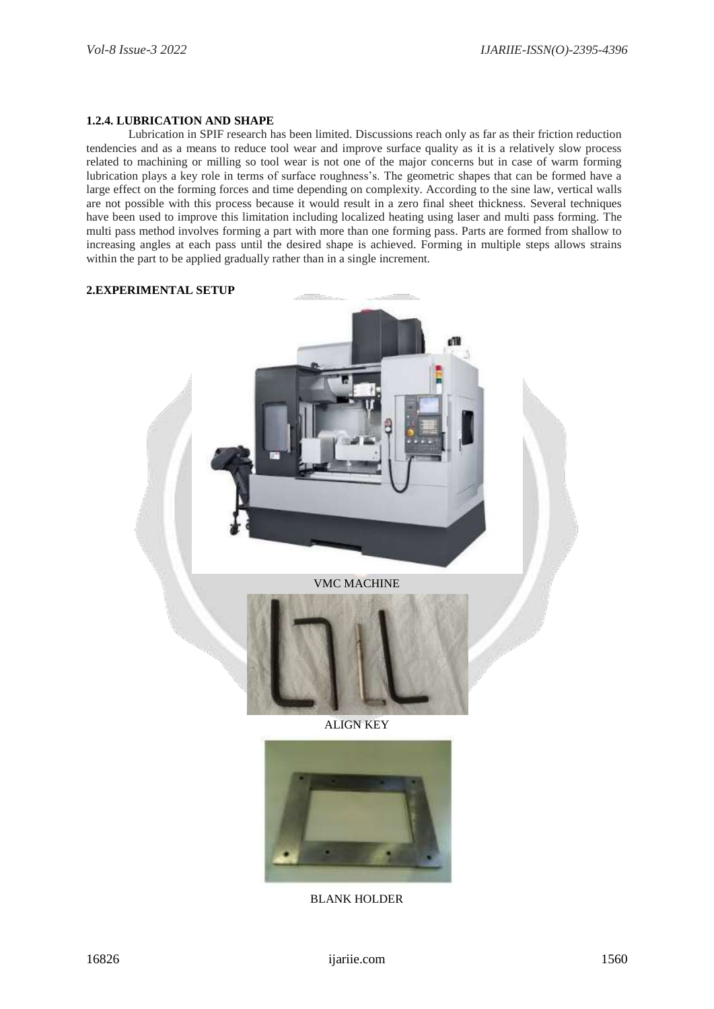#### **1.2.4. LUBRICATION AND SHAPE**

 Lubrication in SPIF research has been limited. Discussions reach only as far as their friction reduction tendencies and as a means to reduce tool wear and improve surface quality as it is a relatively slow process related to machining or milling so tool wear is not one of the major concerns but in case of warm forming lubrication plays a key role in terms of surface roughness's. The geometric shapes that can be formed have a large effect on the forming forces and time depending on complexity. According to the sine law, vertical walls are not possible with this process because it would result in a zero final sheet thickness. Several techniques have been used to improve this limitation including localized heating using laser and multi pass forming. The multi pass method involves forming a part with more than one forming pass. Parts are formed from shallow to increasing angles at each pass until the desired shape is achieved. Forming in multiple steps allows strains within the part to be applied gradually rather than in a single increment.

#### **2.EXPERIMENTAL SETUP**



ALIGN KEY



BLANK HOLDER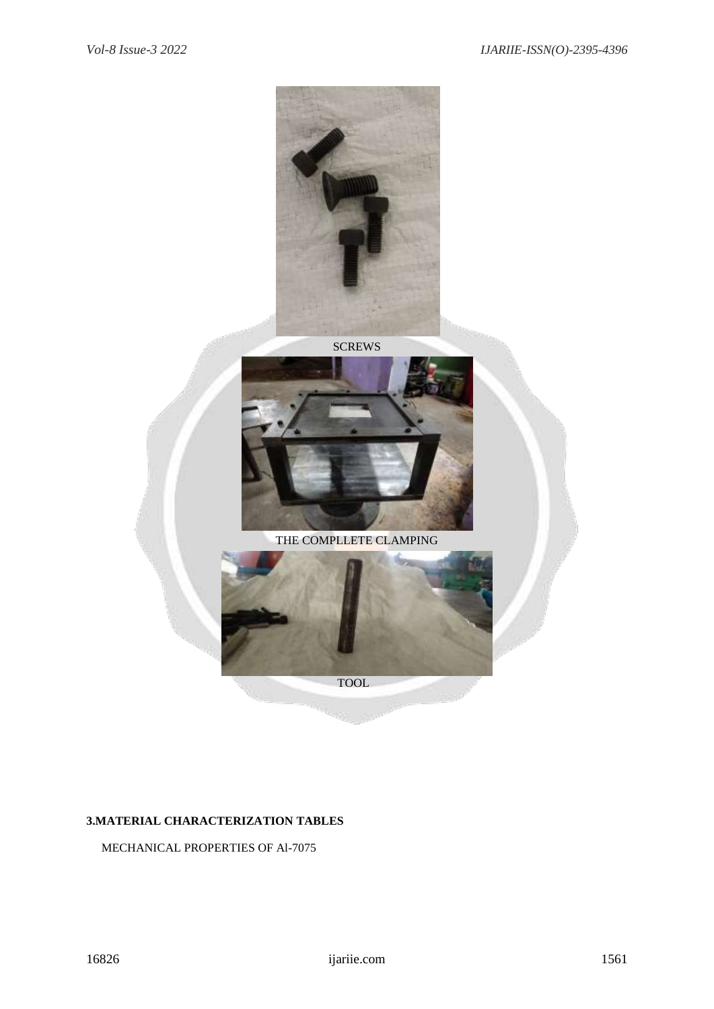

**SCREWS** 





# **3.MATERIAL CHARACTERIZATION TABLES**

# MECHANICAL PROPERTIES OF Al-7075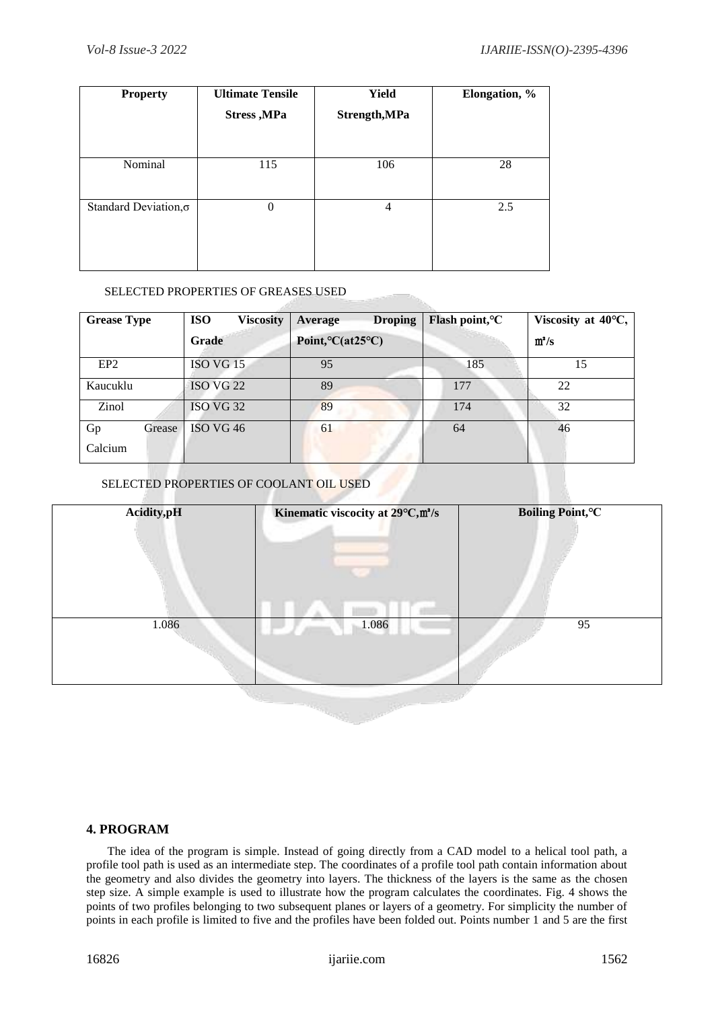| <b>Property</b>       | <b>Ultimate Tensile</b> | <b>Yield</b>  | Elongation, % |  |
|-----------------------|-------------------------|---------------|---------------|--|
|                       | <b>Stress</b> , MPa     | Strength, MPa |               |  |
|                       |                         |               |               |  |
| Nominal               | 115                     | 106           | 28            |  |
| Standard Deviation, o | $\overline{0}$          | 4             | 2.5           |  |

# SELECTED PROPERTIES OF GREASES USED

| <b>Grease Type</b> | <b>ISO</b><br><b>Viscosity</b> | <b>Droping</b><br>Average                  | Flash point, <sup>o</sup> C | Viscosity at $40^{\circ}$ C, |
|--------------------|--------------------------------|--------------------------------------------|-----------------------------|------------------------------|
|                    | <b>Grade</b>                   | Point, ${}^{\circ}C$ (at25 ${}^{\circ}C$ ) |                             | $m^2/s$                      |
| EP <sub>2</sub>    | ISO VG 15                      | 95                                         | 185                         | 15                           |
| Kaucuklu           | ISO VG 22                      | 89                                         | 177                         | 22                           |
| Zinol              | ISO VG 32                      | 89                                         | 174                         | 32                           |
| Gp<br>Grease       | ISO VG 46                      | 61                                         | 64                          | 46                           |
| Calcium            |                                |                                            |                             |                              |

# SELECTED PROPERTIES OF COOLANT OIL USED



# **4. PROGRAM**

 The idea of the program is simple. Instead of going directly from a CAD model to a helical tool path, a profile tool path is used as an intermediate step. The coordinates of a profile tool path contain information about the geometry and also divides the geometry into layers. The thickness of the layers is the same as the chosen step size. A simple example is used to illustrate how the program calculates the coordinates. Fig. 4 shows the points of two profiles belonging to two subsequent planes or layers of a geometry. For simplicity the number of points in each profile is limited to five and the profiles have been folded out. Points number 1 and 5 are the first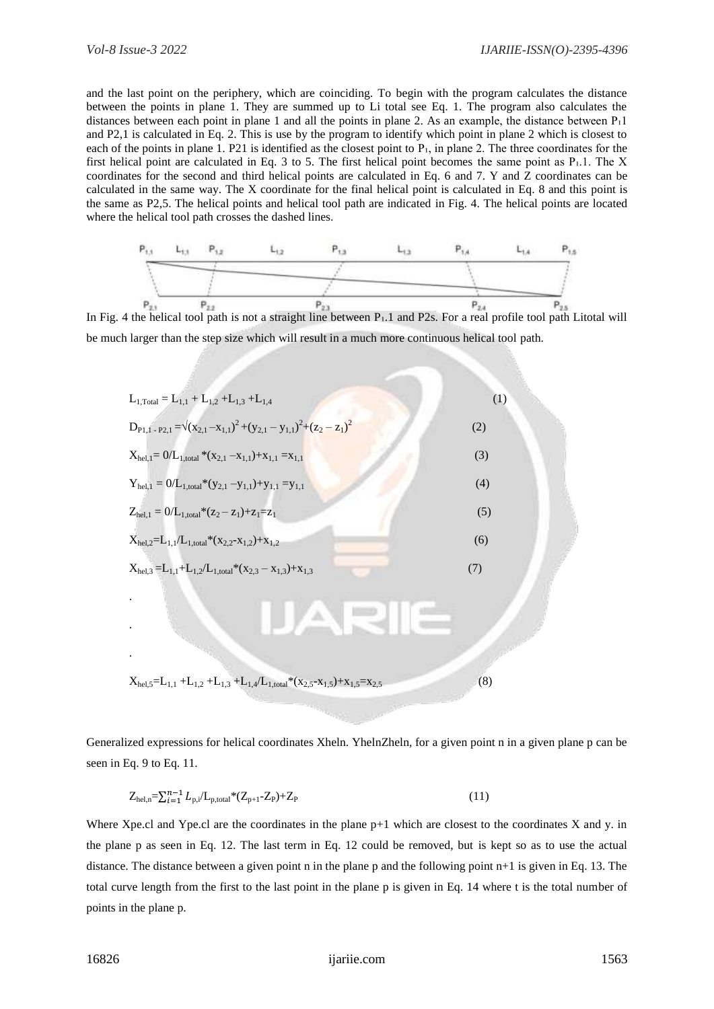and the last point on the periphery, which are coinciding. To begin with the program calculates the distance between the points in plane 1. They are summed up to Li total see Eq. 1. The program also calculates the distances between each point in plane 1 and all the points in plane 2. As an example, the distance between  $P_11$ and P2,1 is calculated in Eq. 2. This is use by the program to identify which point in plane 2 which is closest to each of the points in plane 1. P21 is identified as the closest point to P<sub>1</sub>, in plane 2. The three coordinates for the first helical point are calculated in Eq. 3 to 5. The first helical point becomes the same point as Pı.1. The X coordinates for the second and third helical points are calculated in Eq. 6 and 7. Y and Z coordinates can be calculated in the same way. The X coordinate for the final helical point is calculated in Eq. 8 and this point is the same as P2,5. The helical points and helical tool path are indicated in Fig. 4. The helical points are located where the helical tool path crosses the dashed lines.



**In Fig. 4 the helical tool path is not a straight line between P**<sub>1</sub>.1 and P2s. For a real profile tool path Litotal will be much larger than the step size which will result in a much more continuous helical tool path.

| $L_{1,Total} = L_{1,1} + L_{1,2} + L_{1,3} + L_{1,4}$                                                     | (1) |  |
|-----------------------------------------------------------------------------------------------------------|-----|--|
| $D_{P1,1-P2,1} = \sqrt{(x_{2,1} - x_{1,1})^2 + (y_{2,1} - y_{1,1})^2 + (z_2 - z_1)^2}$                    | (2) |  |
| $X_{hel,1} = 0/L_{1,total} * (x_{2,1} - x_{1,1}) + x_{1,1} = x_{1,1}$                                     | (3) |  |
| $Y_{hel,1} = 0/L_{1, total} * (y_{2,1} - y_{1,1}) + y_{1,1} = y_{1,1}$                                    | (4) |  |
| $Z_{hel,1} = 0/L_{1,total} * (z_2 - z_1) + z_1 = z_1$                                                     | (5) |  |
| $X_{hel,2} = L_{1,1}/L_{1,total}*(x_{2,2}-x_{1,2})+x_{1,2}$                                               | (6) |  |
| $X_{hel,3} = L_{1,1} + L_{1,2}/L_{1,total} * (x_{2,3} - x_{1,3}) + x_{1,3}$                               | (7) |  |
|                                                                                                           |     |  |
|                                                                                                           |     |  |
| $X_{hel,5} = L_{1,1} + L_{1,2} + L_{1,3} + L_{1,4}/L_{1,total} * (x_{2,5} - x_{1,5}) + x_{1,5} = x_{2,5}$ | (8) |  |

Generalized expressions for helical coordinates Xheln. YhelnZheln, for a given point n in a given plane p can be seen in Eq. 9 to Eq. 11.

$$
Z_{hel,n} = \sum_{i=1}^{n-1} L_{p,i} / L_{p,total} * (Z_{p+1} - Z_p) + Z_p
$$
\n(11)

Where Xpe.cl and Ype.cl are the coordinates in the plane  $p+1$  which are closest to the coordinates X and y. in the plane p as seen in Eq. 12. The last term in Eq. 12 could be removed, but is kept so as to use the actual distance. The distance between a given point n in the plane p and the following point n+1 is given in Eq. 13. The total curve length from the first to the last point in the plane p is given in Eq. 14 where t is the total number of points in the plane p.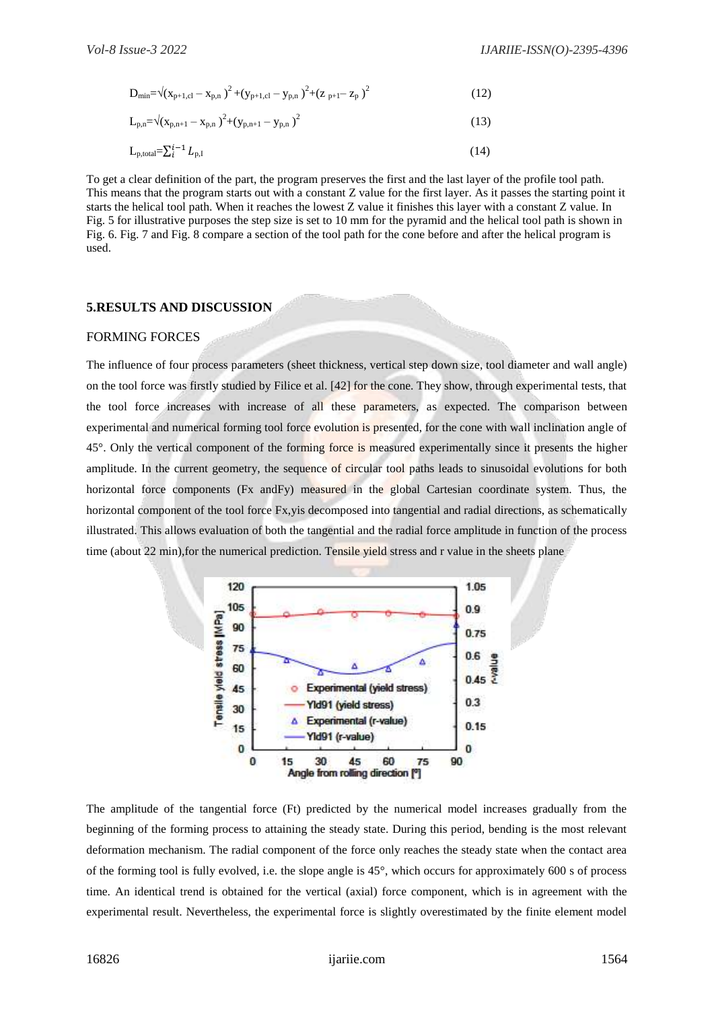$$
D_{\min} = \sqrt{(x_{p+1,cl} - x_{p,n})^2 + (y_{p+1,cl} - y_{p,n})^2 + (z_{p+1} - z_p)^2}
$$
\n(12)

$$
L_{p,n} = \sqrt{(x_{p,n+1} - x_{p,n})^2 + (y_{p,n+1} - y_{p,n})^2}
$$
\n(13)

$$
L_{p,\text{total}} = \sum_{i}^{i-1} L_{p,i} \tag{14}
$$

To get a clear definition of the part, the program preserves the first and the last layer of the profile tool path. This means that the program starts out with a constant Z value for the first layer. As it passes the starting point it starts the helical tool path. When it reaches the lowest Z value it finishes this layer with a constant Z value. In Fig. 5 for illustrative purposes the step size is set to 10 mm for the pyramid and the helical tool path is shown in Fig. 6. Fig. 7 and Fig. 8 compare a section of the tool path for the cone before and after the helical program is used.

# **5.RESULTS AND DISCUSSION**

# FORMING FORCES

The influence of four process parameters (sheet thickness, vertical step down size, tool diameter and wall angle) on the tool force was firstly studied by Filice et al. [42] for the cone. They show, through experimental tests, that the tool force increases with increase of all these parameters, as expected. The comparison between experimental and numerical forming tool force evolution is presented, for the cone with wall inclination angle of 45°. Only the vertical component of the forming force is measured experimentally since it presents the higher amplitude. In the current geometry, the sequence of circular tool paths leads to sinusoidal evolutions for both horizontal force components (Fx andFy) measured in the global Cartesian coordinate system. Thus, the horizontal component of the tool force Fx,yis decomposed into tangential and radial directions, as schematically illustrated. This allows evaluation of both the tangential and the radial force amplitude in function of the process time (about 22 min),for the numerical prediction. Tensile yield stress and r value in the sheets plane



The amplitude of the tangential force (Ft) predicted by the numerical model increases gradually from the beginning of the forming process to attaining the steady state. During this period, bending is the most relevant deformation mechanism. The radial component of the force only reaches the steady state when the contact area of the forming tool is fully evolved, i.e. the slope angle is 45°, which occurs for approximately 600 s of process time. An identical trend is obtained for the vertical (axial) force component, which is in agreement with the experimental result. Nevertheless, the experimental force is slightly overestimated by the finite element model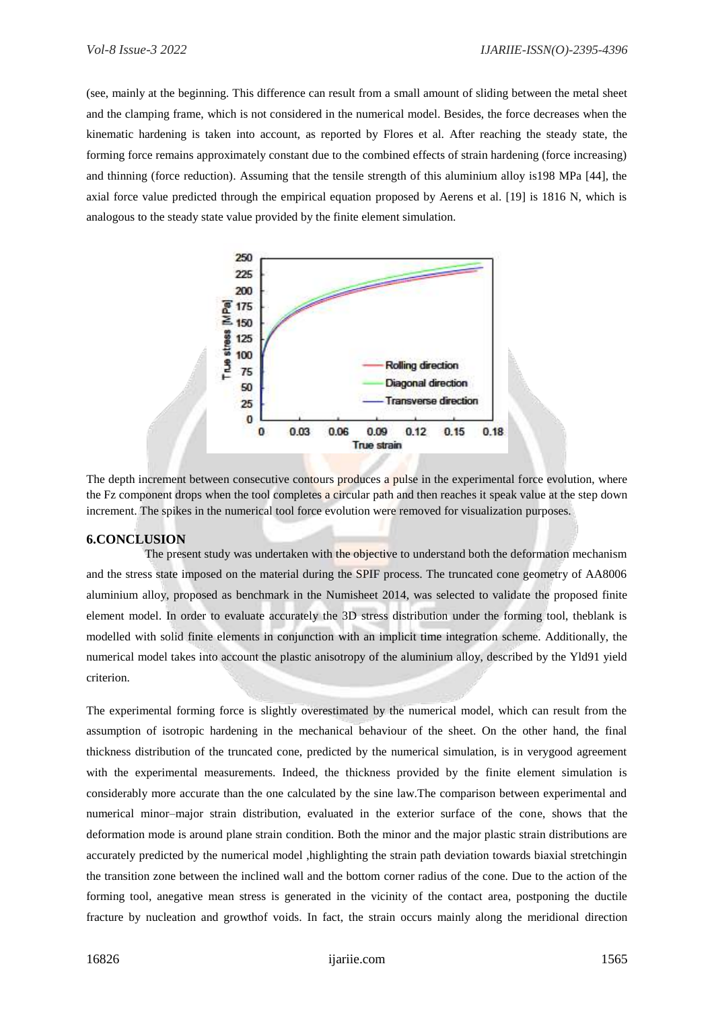(see, mainly at the beginning. This difference can result from a small amount of sliding between the metal sheet and the clamping frame, which is not considered in the numerical model. Besides, the force decreases when the kinematic hardening is taken into account, as reported by Flores et al. After reaching the steady state, the forming force remains approximately constant due to the combined effects of strain hardening (force increasing) and thinning (force reduction). Assuming that the tensile strength of this aluminium alloy is198 MPa [44], the axial force value predicted through the empirical equation proposed by Aerens et al. [19] is 1816 N, which is analogous to the steady state value provided by the finite element simulation.



The depth increment between consecutive contours produces a pulse in the experimental force evolution, where the Fz component drops when the tool completes a circular path and then reaches it speak value at the step down increment. The spikes in the numerical tool force evolution were removed for visualization purposes.

# **6.CONCLUSION**

The present study was undertaken with the objective to understand both the deformation mechanism and the stress state imposed on the material during the SPIF process. The truncated cone geometry of AA8006 aluminium alloy, proposed as benchmark in the Numisheet 2014, was selected to validate the proposed finite element model. In order to evaluate accurately the 3D stress distribution under the forming tool, theblank is modelled with solid finite elements in conjunction with an implicit time integration scheme. Additionally, the numerical model takes into account the plastic anisotropy of the aluminium alloy, described by the Yld91 yield criterion.

The experimental forming force is slightly overestimated by the numerical model, which can result from the assumption of isotropic hardening in the mechanical behaviour of the sheet. On the other hand, the final thickness distribution of the truncated cone, predicted by the numerical simulation, is in verygood agreement with the experimental measurements. Indeed, the thickness provided by the finite element simulation is considerably more accurate than the one calculated by the sine law.The comparison between experimental and numerical minor–major strain distribution, evaluated in the exterior surface of the cone, shows that the deformation mode is around plane strain condition. Both the minor and the major plastic strain distributions are accurately predicted by the numerical model ,highlighting the strain path deviation towards biaxial stretchingin the transition zone between the inclined wall and the bottom corner radius of the cone. Due to the action of the forming tool, anegative mean stress is generated in the vicinity of the contact area, postponing the ductile fracture by nucleation and growthof voids. In fact, the strain occurs mainly along the meridional direction